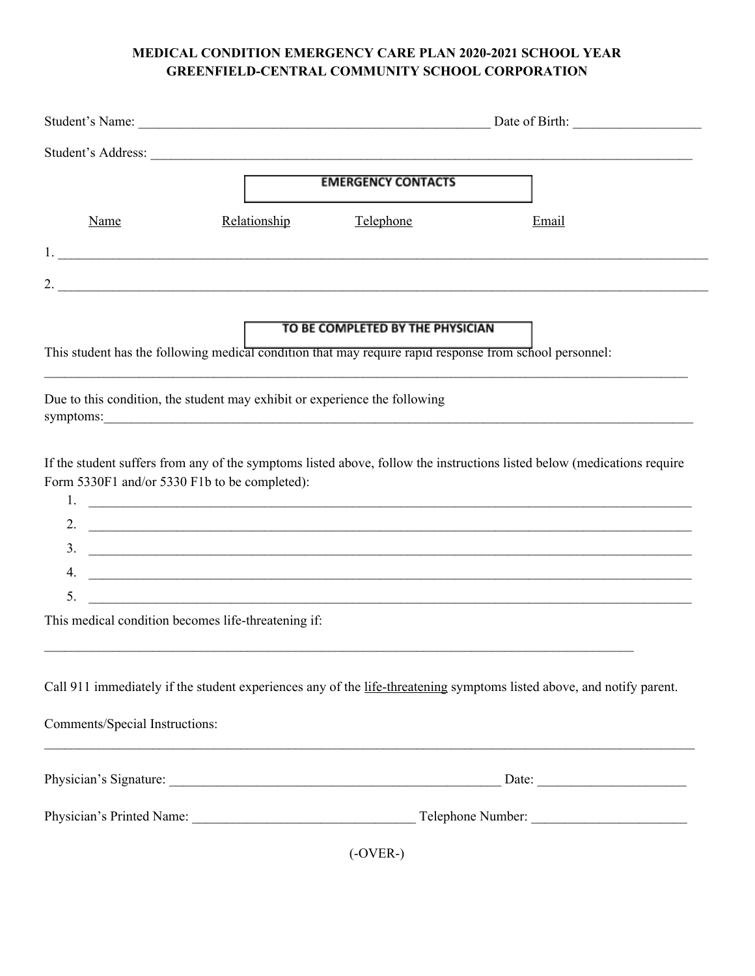## **MEDICAL CONDITION EMERGENCY CARE PLAN 2020-2021 SCHOOL YEAR GREENFIELD-CENTRAL COMMUNITY SCHOOL CORPORATION**

|                                                                                                                                                                                                                                                                                                                    |              | Student's Name:<br>Date of Birth:                                                                                          |                                                                                                                                                                                                                                                                                           |  |
|--------------------------------------------------------------------------------------------------------------------------------------------------------------------------------------------------------------------------------------------------------------------------------------------------------------------|--------------|----------------------------------------------------------------------------------------------------------------------------|-------------------------------------------------------------------------------------------------------------------------------------------------------------------------------------------------------------------------------------------------------------------------------------------|--|
|                                                                                                                                                                                                                                                                                                                    |              |                                                                                                                            |                                                                                                                                                                                                                                                                                           |  |
|                                                                                                                                                                                                                                                                                                                    |              | <b>EMERGENCY CONTACTS</b>                                                                                                  |                                                                                                                                                                                                                                                                                           |  |
| Name                                                                                                                                                                                                                                                                                                               | Relationship | Telephone                                                                                                                  | Email                                                                                                                                                                                                                                                                                     |  |
|                                                                                                                                                                                                                                                                                                                    |              |                                                                                                                            |                                                                                                                                                                                                                                                                                           |  |
| 2. $\qquad \qquad$                                                                                                                                                                                                                                                                                                 |              |                                                                                                                            |                                                                                                                                                                                                                                                                                           |  |
|                                                                                                                                                                                                                                                                                                                    |              | TO BE COMPLETED BY THE PHYSICIAN                                                                                           | This student has the following medical condition that may require rapid response from school personnel:                                                                                                                                                                                   |  |
|                                                                                                                                                                                                                                                                                                                    |              |                                                                                                                            |                                                                                                                                                                                                                                                                                           |  |
| Due to this condition, the student may exhibit or experience the following<br>symptoms: <u>example and the set of the set of the set of the set of the set of the set of the set of the set of the set of the set of the set of the set of the set of the set of the set of the set of the set of the set of t</u> |              |                                                                                                                            |                                                                                                                                                                                                                                                                                           |  |
| Form 5330F1 and/or 5330 F1b to be completed):<br>1.                                                                                                                                                                                                                                                                |              |                                                                                                                            | If the student suffers from any of the symptoms listed above, follow the instructions listed below (medications require<br><u> 1999 - Johann Harry Harry Harry Harry Harry Harry Harry Harry Harry Harry Harry Harry Harry Harry Harry Harry H</u><br>2. $\qquad \qquad$<br>$\frac{1}{2}$ |  |
| 4.                                                                                                                                                                                                                                                                                                                 |              |                                                                                                                            | <u> 1989 - Jan Barnett, fransk politiker (d. 1989)</u>                                                                                                                                                                                                                                    |  |
| 5.                                                                                                                                                                                                                                                                                                                 |              | <u> 1990 - Johann John Stone, market fan de Amerikaanske kommunister fan de Amerikaanske kommunister fan de Amerikaans</u> |                                                                                                                                                                                                                                                                                           |  |
| This medical condition becomes life-threatening if:                                                                                                                                                                                                                                                                |              |                                                                                                                            |                                                                                                                                                                                                                                                                                           |  |
|                                                                                                                                                                                                                                                                                                                    |              |                                                                                                                            | Call 911 immediately if the student experiences any of the life-threatening symptoms listed above, and notify parent.                                                                                                                                                                     |  |
| Comments/Special Instructions:                                                                                                                                                                                                                                                                                     |              |                                                                                                                            |                                                                                                                                                                                                                                                                                           |  |
|                                                                                                                                                                                                                                                                                                                    |              |                                                                                                                            |                                                                                                                                                                                                                                                                                           |  |
|                                                                                                                                                                                                                                                                                                                    |              |                                                                                                                            |                                                                                                                                                                                                                                                                                           |  |
|                                                                                                                                                                                                                                                                                                                    |              | (OMED)                                                                                                                     |                                                                                                                                                                                                                                                                                           |  |

(-OVER-)